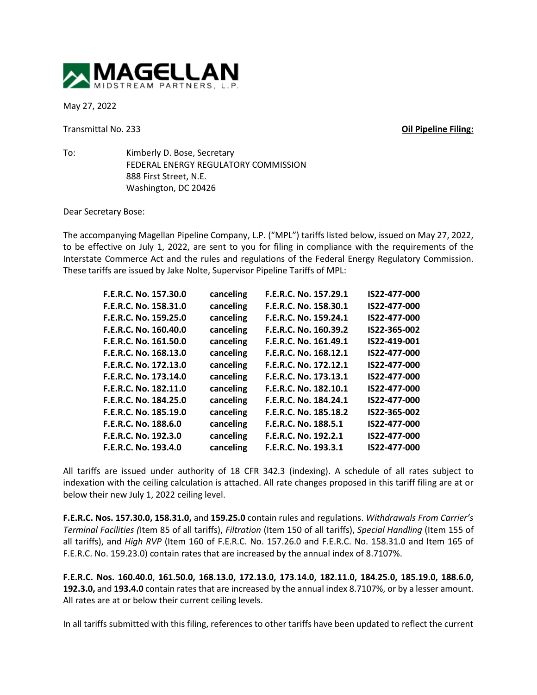

May 27, 2022

Transmittal No. 233 **Oil Pipeline Filing:**

To: Kimberly D. Bose, Secretary FEDERAL ENERGY REGULATORY COMMISSION 888 First Street, N.E. Washington, DC 20426

Dear Secretary Bose:

The accompanying Magellan Pipeline Company, L.P. ("MPL") tariffs listed below, issued on May 27, 2022, to be effective on July 1, 2022, are sent to you for filing in compliance with the requirements of the Interstate Commerce Act and the rules and regulations of the Federal Energy Regulatory Commission. These tariffs are issued by Jake Nolte, Supervisor Pipeline Tariffs of MPL:

| canceling | F.E.R.C. No. 157.29.1 | IS22-477-000 |
|-----------|-----------------------|--------------|
| canceling | F.E.R.C. No. 158.30.1 | IS22-477-000 |
| canceling | F.E.R.C. No. 159.24.1 | IS22-477-000 |
| canceling | F.E.R.C. No. 160.39.2 | IS22-365-002 |
| canceling | F.E.R.C. No. 161.49.1 | IS22-419-001 |
| canceling | F.E.R.C. No. 168.12.1 | IS22-477-000 |
| canceling | F.E.R.C. No. 172.12.1 | IS22-477-000 |
| canceling | F.E.R.C. No. 173.13.1 | IS22-477-000 |
| canceling | F.E.R.C. No. 182.10.1 | IS22-477-000 |
| canceling | F.E.R.C. No. 184.24.1 | IS22-477-000 |
| canceling | F.E.R.C. No. 185.18.2 | IS22-365-002 |
| canceling | F.E.R.C. No. 188.5.1  | IS22-477-000 |
| canceling | F.E.R.C. No. 192.2.1  | IS22-477-000 |
| canceling | F.E.R.C. No. 193.3.1  | IS22-477-000 |
|           |                       |              |

All tariffs are issued under authority of 18 CFR 342.3 (indexing). A schedule of all rates subject to indexation with the ceiling calculation is attached. All rate changes proposed in this tariff filing are at or below their new July 1, 2022 ceiling level.

**F.E.R.C. Nos. 157.30.0, 158.31.0,** and **159.25.0** contain rules and regulations. *Withdrawals From Carrier's Terminal Facilities (*Item 85 of all tariffs), *Filtration* (Item 150 of all tariffs), *Special Handling* (Item 155 of all tariffs), and *High RVP* (Item 160 of F.E.R.C. No. 157.26.0 and F.E.R.C. No. 158.31.0 and Item 165 of F.E.R.C. No. 159.23.0) contain rates that are increased by the annual index of 8.7107%.

**F.E.R.C. Nos. 160.40.0**, **161.50.0, 168.13.0, 172.13.0, 173.14.0, 182.11.0, 184.25.0, 185.19.0, 188.6.0, 192.3.0,** and **193.4.0** contain rates that are increased by the annual index 8.7107%, or by a lesser amount. All rates are at or below their current ceiling levels.

In all tariffs submitted with this filing, references to other tariffs have been updated to reflect the current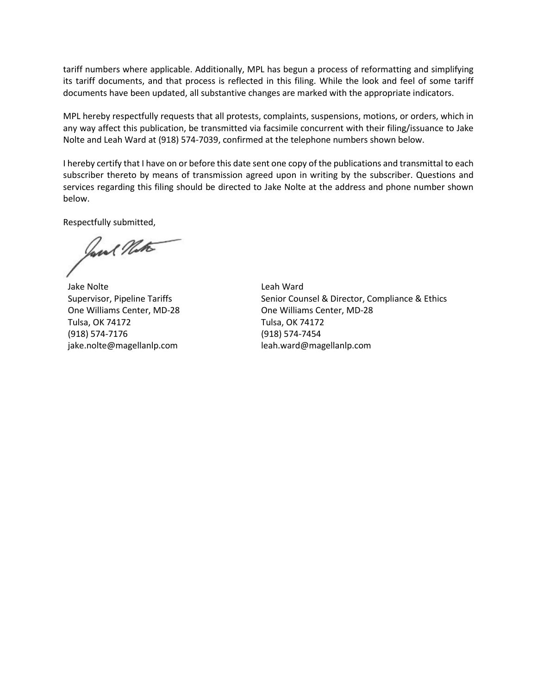tariff numbers where applicable. Additionally, MPL has begun a process of reformatting and simplifying its tariff documents, and that process is reflected in this filing. While the look and feel of some tariff documents have been updated, all substantive changes are marked with the appropriate indicators.

MPL hereby respectfully requests that all protests, complaints, suspensions, motions, or orders, which in any way affect this publication, be transmitted via facsimile concurrent with their filing/issuance to Jake Nolte and Leah Ward at (918) 574-7039, confirmed at the telephone numbers shown below.

I hereby certify that I have on or before this date sent one copy of the publications and transmittal to each subscriber thereto by means of transmission agreed upon in writing by the subscriber. Questions and services regarding this filing should be directed to Jake Nolte at the address and phone number shown below.

Respectfully submitted,

Jane Note

Jake Nolte Supervisor, Pipeline Tariffs One Williams Center, MD-28 Tulsa, OK 74172 (918) 574-7176 jake.nolte@magellanlp.com

Leah Ward Senior Counsel & Director, Compliance & Ethics One Williams Center, MD-28 Tulsa, OK 74172 (918) 574-7454 leah.ward@magellanlp.com